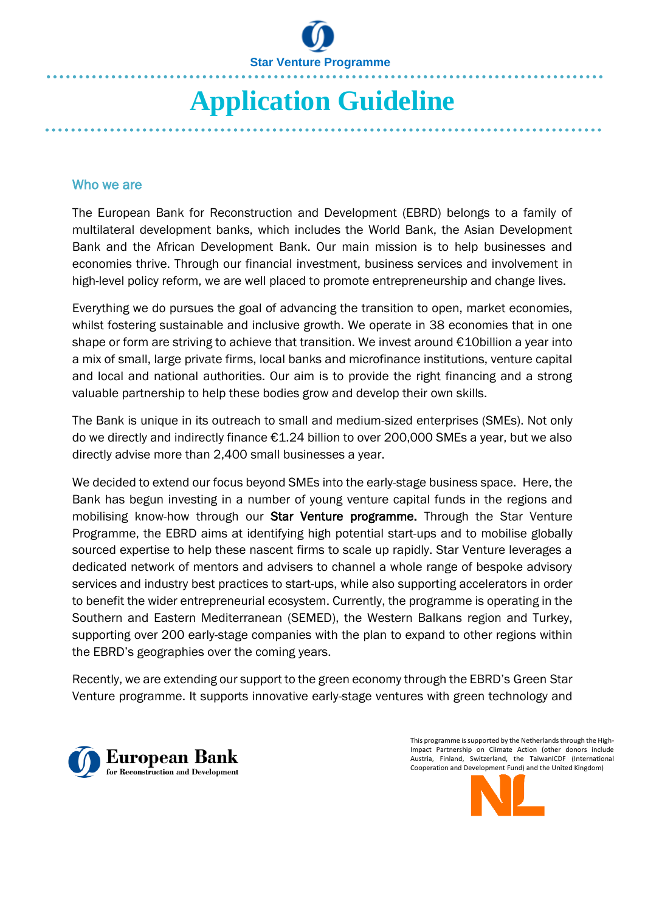

# **Application Guideline**

### Who we are

The European Bank for Reconstruction and Development (EBRD) belongs to a family of multilateral development banks, which includes the World Bank, the Asian Development Bank and the African Development Bank. Our main mission is to help businesses and economies thrive. Through our financial investment, business services and involvement in high-level policy reform, we are well placed to promote entrepreneurship and change lives.

Everything we do pursues the goal of advancing the transition to open, market economies, whilst fostering sustainable and inclusive growth. We operate in 38 economies that in one shape or form are striving to achieve that transition. We invest around €10billion a year into a mix of small, large private firms, local banks and microfinance institutions, venture capital and local and national authorities. Our aim is to provide the right financing and a strong valuable partnership to help these bodies grow and develop their own skills.

The Bank is unique in its outreach to small and medium-sized enterprises (SMEs). Not only do we directly and indirectly finance €1.24 billion to over 200,000 SMEs a year, but we also directly advise more than 2,400 small businesses a year.

We decided to extend our focus beyond SMEs into the early-stage business space. Here, the Bank has begun investing in a number of young venture capital funds in the regions and mobilising know-how through our Star Venture programme. Through the Star Venture Programme, the EBRD aims at identifying high potential start-ups and to mobilise globally sourced expertise to help these nascent firms to scale up rapidly. Star Venture leverages a dedicated network of mentors and advisers to channel a whole range of bespoke advisory services and industry best practices to start-ups, while also supporting accelerators in order to benefit the wider entrepreneurial ecosystem. Currently, the programme is operating in the Southern and Eastern Mediterranean (SEMED), the Western Balkans region and Turkey, supporting over 200 early-stage companies with the plan to expand to other regions within the EBRD's geographies over the coming years.

Recently, we are extending our support to the green economy through the EBRD's Green Star Venture programme. It supports innovative early-stage ventures with green technology and



 This programme is supported by the Netherlands through the High-Impact Partnership on Climate Action (other donors include Austria, Finland, Switzerland, the TaiwanICDF (International Cooperation and Development Fund) and the United Kingdom)

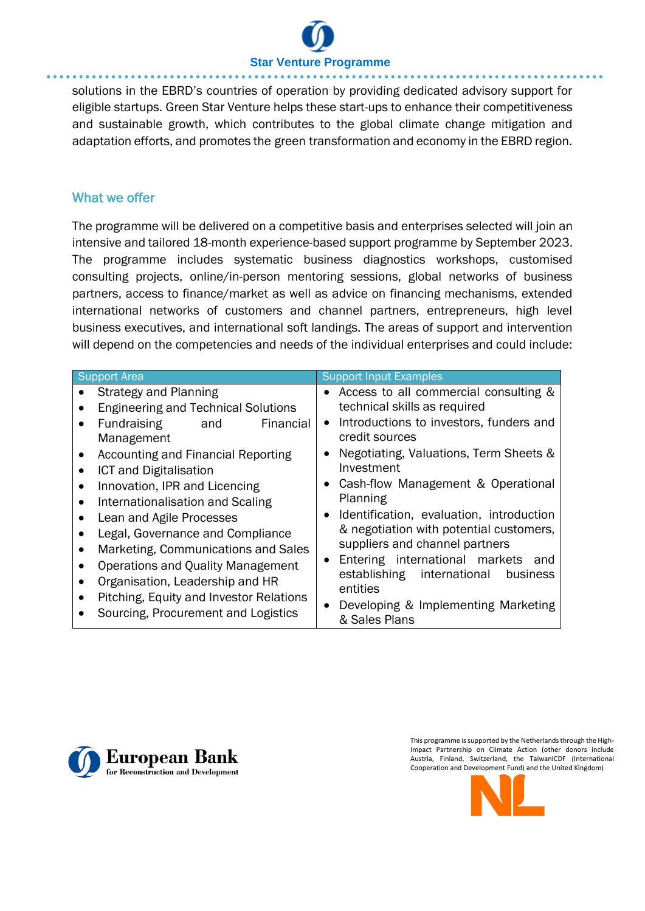## **Star Venture Programme**

solutions in the EBRD's countries of operation by providing dedicated advisory support for eligible startups. Green Star Venture helps these start-ups to enhance their competitiveness and sustainable growth, which contributes to the global climate change mitigation and adaptation efforts, and promotes the green transformation and economy in the EBRD region.

## What we offer

The programme will be delivered on a competitive basis and enterprises selected will join an intensive and tailored 18-month experience-based support programme by September 2023. The programme includes systematic business diagnostics workshops, customised consulting projects, online/in-person mentoring sessions, global networks of business partners, access to finance/market as well as advice on financing mechanisms, extended international networks of customers and channel partners, entrepreneurs, high level business executives, and international soft landings. The areas of support and intervention will depend on the competencies and needs of the individual enterprises and could include:



 This programme is supported by the Netherlands through the High-Impact Partnership on Climate Action (other donors include Austria, Finland, Switzerland, the TaiwanICDF (International Cooperation and Development Fund) and the United Kingdom)